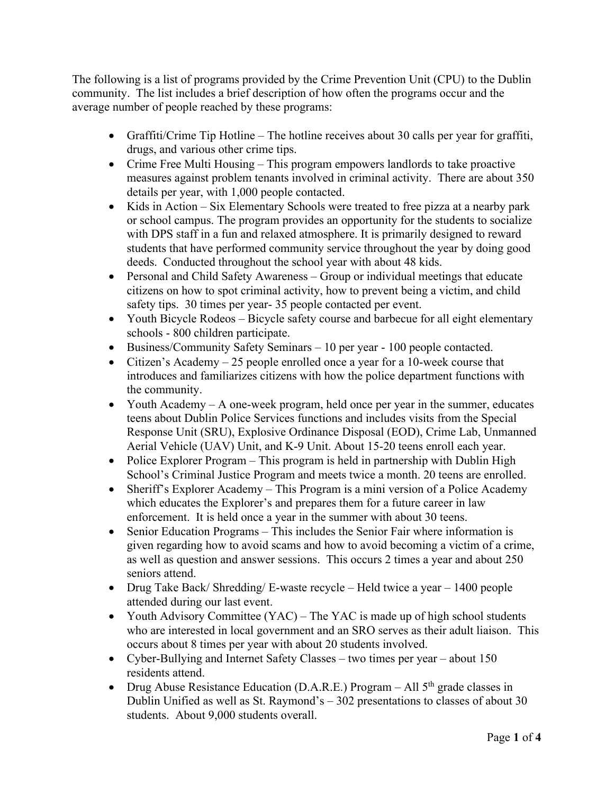The following is a list of programs provided by the Crime Prevention Unit (CPU) to the Dublin community. The list includes a brief description of how often the programs occur and the average number of people reached by these programs:

- Graffiti/Crime Tip Hotline The hotline receives about 30 calls per year for graffiti, drugs, and various other crime tips.
- Crime Free Multi Housing This program empowers landlords to take proactive measures against problem tenants involved in criminal activity. There are about 350 details per year, with 1,000 people contacted.
- Kids in Action Six Elementary Schools were treated to free pizza at a nearby park or school campus. The program provides an opportunity for the students to socialize with DPS staff in a fun and relaxed atmosphere. It is primarily designed to reward students that have performed community service throughout the year by doing good deeds. Conducted throughout the school year with about 48 kids.
- Personal and Child Safety Awareness Group or individual meetings that educate citizens on how to spot criminal activity, how to prevent being a victim, and child safety tips. 30 times per year- 35 people contacted per event.
- Youth Bicycle Rodeos Bicycle safety course and barbecue for all eight elementary schools - 800 children participate.
- Business/Community Safety Seminars 10 per year 100 people contacted.
- Citizen's Academy 25 people enrolled once a year for a 10-week course that introduces and familiarizes citizens with how the police department functions with the community.
- Youth Academy  $-A$  one-week program, held once per year in the summer, educates teens about Dublin Police Services functions and includes visits from the Special Response Unit (SRU), Explosive Ordinance Disposal (EOD), Crime Lab, Unmanned Aerial Vehicle (UAV) Unit, and K-9 Unit. About 15-20 teens enroll each year.
- Police Explorer Program This program is held in partnership with Dublin High School's Criminal Justice Program and meets twice a month. 20 teens are enrolled.
- Sheriff's Explorer Academy This Program is a mini version of a Police Academy which educates the Explorer's and prepares them for a future career in law enforcement. It is held once a year in the summer with about 30 teens.
- Senior Education Programs This includes the Senior Fair where information is given regarding how to avoid scams and how to avoid becoming a victim of a crime, as well as question and answer sessions. This occurs 2 times a year and about 250 seniors attend.
- Drug Take Back/ Shredding/ E-waste recycle Held twice a year 1400 people attended during our last event.
- Youth Advisory Committee (YAC) The YAC is made up of high school students who are interested in local government and an SRO serves as their adult liaison. This occurs about 8 times per year with about 20 students involved.
- Cyber-Bullying and Internet Safety Classes two times per year about 150 residents attend.
- Drug Abuse Resistance Education (D.A.R.E.) Program All  $5<sup>th</sup>$  grade classes in Dublin Unified as well as St. Raymond's  $-302$  presentations to classes of about 30 students. About 9,000 students overall.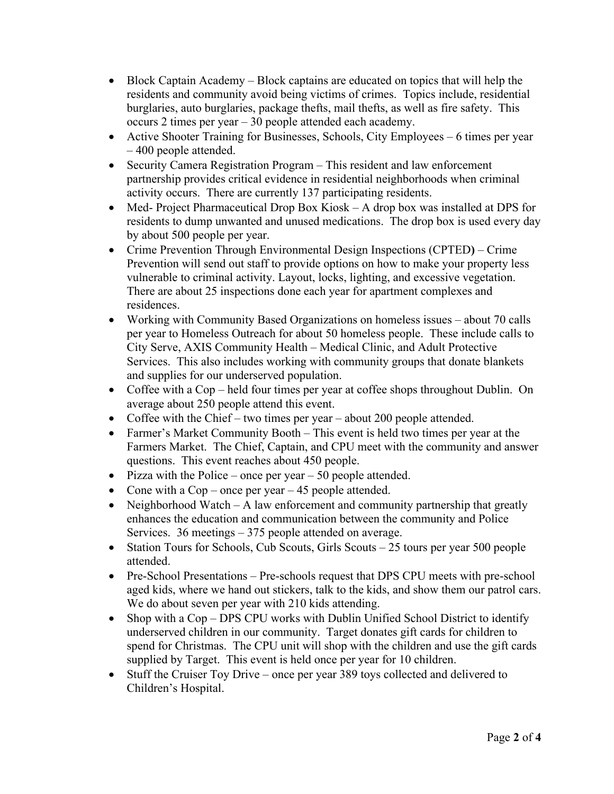- Block Captain Academy Block captains are educated on topics that will help the residents and community avoid being victims of crimes. Topics include, residential burglaries, auto burglaries, package thefts, mail thefts, as well as fire safety. This occurs 2 times per year – 30 people attended each academy.
- Active Shooter Training for Businesses, Schools, City Employees 6 times per year – 400 people attended.
- Security Camera Registration Program This resident and law enforcement partnership provides critical evidence in residential neighborhoods when criminal activity occurs. There are currently 137 participating residents.
- Med- Project Pharmaceutical Drop Box Kiosk A drop box was installed at DPS for residents to dump unwanted and unused medications. The drop box is used every day by about 500 people per year.
- Crime Prevention Through Environmental Design Inspections (CPTED**)** Crime Prevention will send out staff to provide options on how to make your property less vulnerable to criminal activity. Layout, locks, lighting, and excessive vegetation. There are about 25 inspections done each year for apartment complexes and residences.
- Working with Community Based Organizations on homeless issues about 70 calls per year to Homeless Outreach for about 50 homeless people. These include calls to City Serve, AXIS Community Health – Medical Clinic, and Adult Protective Services. This also includes working with community groups that donate blankets and supplies for our underserved population.
- Coffee with a Cop held four times per year at coffee shops throughout Dublin. On average about 250 people attend this event.
- Coffee with the Chief two times per year about 200 people attended.
- Farmer's Market Community Booth This event is held two times per year at the Farmers Market. The Chief, Captain, and CPU meet with the community and answer questions. This event reaches about 450 people.
- Pizza with the Police once per year  $-50$  people attended.
- Cone with a Cop once per year 45 people attended.
- Neighborhood Watch A law enforcement and community partnership that greatly enhances the education and communication between the community and Police Services. 36 meetings – 375 people attended on average.
- Station Tours for Schools, Cub Scouts, Girls Scouts 25 tours per year 500 people attended.
- Pre-School Presentations Pre-schools request that DPS CPU meets with pre-school aged kids, where we hand out stickers, talk to the kids, and show them our patrol cars. We do about seven per year with 210 kids attending.
- Shop with a Cop DPS CPU works with Dublin Unified School District to identify underserved children in our community. Target donates gift cards for children to spend for Christmas. The CPU unit will shop with the children and use the gift cards supplied by Target. This event is held once per year for 10 children.
- Stuff the Cruiser Toy Drive once per year 389 toys collected and delivered to Children's Hospital.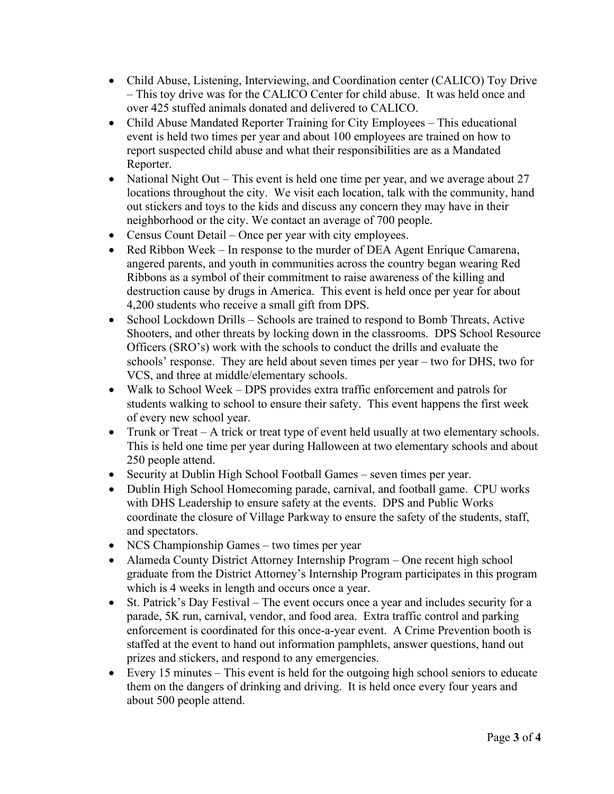- Child Abuse, Listening, Interviewing, and Coordination center (CALICO) Toy Drive – This toy drive was for the CALICO Center for child abuse. It was held once and over 425 stuffed animals donated and delivered to CALICO.
- Child Abuse Mandated Reporter Training for City Employees This educational event is held two times per year and about 100 employees are trained on how to report suspected child abuse and what their responsibilities are as a Mandated Reporter.
- National Night Out This event is held one time per year, and we average about 27 locations throughout the city. We visit each location, talk with the community, hand out stickers and toys to the kids and discuss any concern they may have in their neighborhood or the city. We contact an average of 700 people.
- Census Count Detail Once per year with city employees.
- Red Ribbon Week In response to the murder of DEA Agent Enrique Camarena, angered parents, and youth in communities across the country began wearing Red Ribbons as a symbol of their commitment to raise awareness of the killing and destruction cause by drugs in America. This event is held once per year for about 4,200 students who receive a small gift from DPS.
- School Lockdown Drills Schools are trained to respond to Bomb Threats, Active Shooters, and other threats by locking down in the classrooms. DPS School Resource Officers (SRO's) work with the schools to conduct the drills and evaluate the schools' response. They are held about seven times per year – two for DHS, two for VCS, and three at middle/elementary schools.
- Walk to School Week DPS provides extra traffic enforcement and patrols for students walking to school to ensure their safety. This event happens the first week of every new school year.
- Trunk or Treat A trick or treat type of event held usually at two elementary schools. This is held one time per year during Halloween at two elementary schools and about 250 people attend.
- Security at Dublin High School Football Games seven times per year.
- Dublin High School Homecoming parade, carnival, and football game. CPU works with DHS Leadership to ensure safety at the events. DPS and Public Works coordinate the closure of Village Parkway to ensure the safety of the students, staff, and spectators.
- NCS Championship Games two times per year
- Alameda County District Attorney Internship Program One recent high school graduate from the District Attorney's Internship Program participates in this program which is 4 weeks in length and occurs once a year.
- St. Patrick's Day Festival The event occurs once a year and includes security for a parade, 5K run, carnival, vendor, and food area. Extra traffic control and parking enforcement is coordinated for this once-a-year event. A Crime Prevention booth is staffed at the event to hand out information pamphlets, answer questions, hand out prizes and stickers, and respond to any emergencies.
- Every 15 minutes This event is held for the outgoing high school seniors to educate them on the dangers of drinking and driving. It is held once every four years and about 500 people attend.